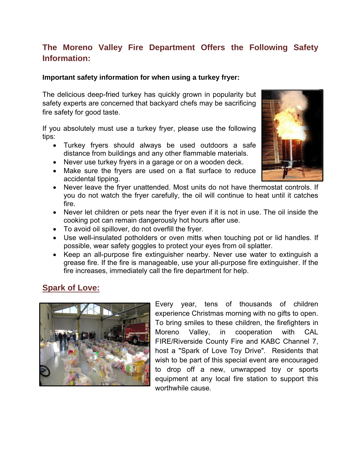# **The Moreno Valley Fire Department Offers the Following Safety Information:**

#### **Important safety information for when using a turkey fryer:**

The delicious deep-fried turkey has quickly grown in popularity but safety experts are concerned that backyard chefs may be sacrificing fire safety for good taste.

If you absolutely must use a turkey fryer, please use the following tips:

- Turkey fryers should always be used outdoors a safe distance from buildings and any other flammable materials.
- Never use turkey fryers in a garage or on a wooden deck.
- Make sure the fryers are used on a flat surface to reduce accidental tipping.
- Never leave the fryer unattended. Most units do not have thermostat controls. If you do not watch the fryer carefully, the oil will continue to heat until it catches fire.
- Never let children or pets near the fryer even if it is not in use. The oil inside the cooking pot can remain dangerously hot hours after use.
- To avoid oil spillover, do not overfill the fryer.
- Use well-insulated potholders or oven mitts when touching pot or lid handles. If possible, wear safety goggles to protect your eyes from oil splatter.
- Keep an all-purpose fire extinguisher nearby. Never use water to extinguish a grease fire. If the fire is manageable, use your all-purpose fire extinguisher. If the fire increases, immediately call the fire department for help.

### **Spark of Love:**



Every year, tens of thousands of children experience Christmas morning with no gifts to open. To bring smiles to these children, the firefighters in Moreno Valley, in cooperation with CAL FIRE/Riverside County Fire and KABC Channel 7, host a "Spark of Love Toy Drive". Residents that wish to be part of this special event are encouraged to drop off a new, unwrapped toy or sports equipment at any local fire station to support this worthwhile cause.

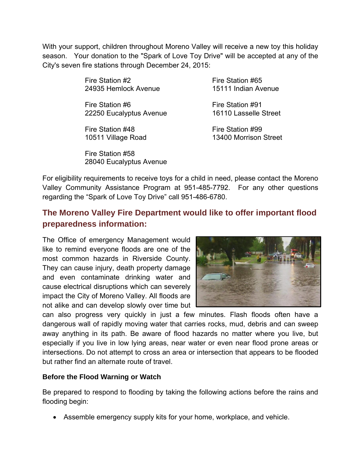With your support, children throughout Moreno Valley will receive a new toy this holiday season. Your donation to the "Spark of Love Toy Drive" will be accepted at any of the City's seven fire stations through December 24, 2015:

> Fire Station #2 Fire Station #65 24935 Hemlock Avenue 15111 Indian Avenue

Fire Station #6 Fire Station #91<br>22250 Eucalyptus Avenue 16110 Lasselle Street 22250 Eucalyptus Avenue

Fire Station #48 Fire Station #99

Fire Station #58 28040 Eucalyptus Avenue

10511 Village Road 13400 Morrison Street

For eligibility requirements to receive toys for a child in need, please contact the Moreno Valley Community Assistance Program at 951-485-7792. For any other questions regarding the "Spark of Love Toy Drive" call 951-486-6780.

## **The Moreno Valley Fire Department would like to offer important flood preparedness information:**

The Office of emergency Management would like to remind everyone floods are one of the most common hazards in Riverside County. They can cause injury, death property damage and even contaminate drinking water and cause electrical disruptions which can severely impact the City of Moreno Valley. All floods are not alike and can develop slowly over time but



can also progress very quickly in just a few minutes. Flash floods often have a dangerous wall of rapidly moving water that carries rocks, mud, debris and can sweep away anything in its path. Be aware of flood hazards no matter where you live, but especially if you live in low lying areas, near water or even near flood prone areas or intersections. Do not attempt to cross an area or intersection that appears to be flooded but rather find an alternate route of travel.

### **Before the Flood Warning or Watch**

Be prepared to respond to flooding by taking the following actions before the rains and flooding begin:

Assemble emergency supply kits for your home, workplace, and vehicle.